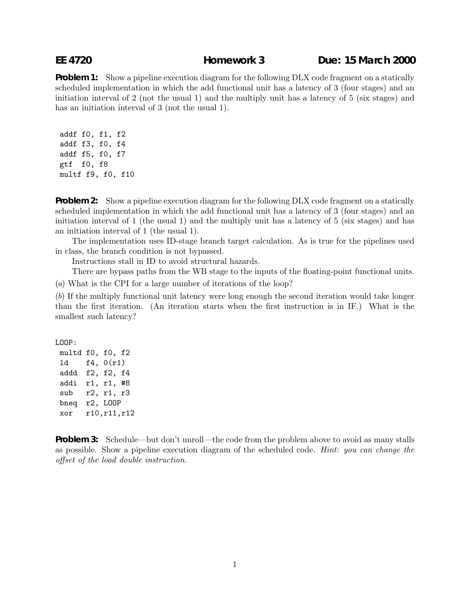## **EE 4720 Homework 3 Due: 15 March 2000**

**Problem 1:** Show a pipeline execution diagram for the following DLX code fragment on a statically scheduled implementation in which the add functional unit has a latency of 3 (four stages) and an initiation interval of 2 (not the usual 1) and the multiply unit has a latency of 5 (six stages) and has an initiation interval of 3 (not the usual 1).

addf f0, f1, f2 addf f3, f0, f4 addf f5, f0, f7 gtf f0, f8 multf f9, f0, f10

**Problem 2:** Show a pipeline execution diagram for the following DLX code fragment on a statically scheduled implementation in which the add functional unit has a latency of 3 (four stages) and an initiation interval of 1 (the usual 1) and the multiply unit has a latency of 5 (six stages) and has an initiation interval of 1 (the usual 1).

The implementation uses ID-stage branch target calculation. As is true for the pipelines used in class, the branch condition is not bypassed.

Instructions stall in ID to avoid structural hazards.

There are bypass paths from the WB stage to the inputs of the floating-point functional units.

(a) What is the CPI for a large number of iterations of the loop?

(b) If the multiply functional unit latency were long enough the second iteration would take longer than the first iteration. (An iteration starts when the first instruction is in IF.) What is the smallest such latency?

LOOP:

multd f0, f0, f2 ld f4, 0(r1) addd f2, f2, f4 addi r1, r1, #8 sub r2, r1, r3 bneq r2, LOOP xor r10,r11,r12

**Problem 3:** Schedule—but don't unroll—the code from the problem above to avoid as many stalls as possible. Show a pipeline execution diagram of the scheduled code. Hint: you can change the offset of the load double instruction.